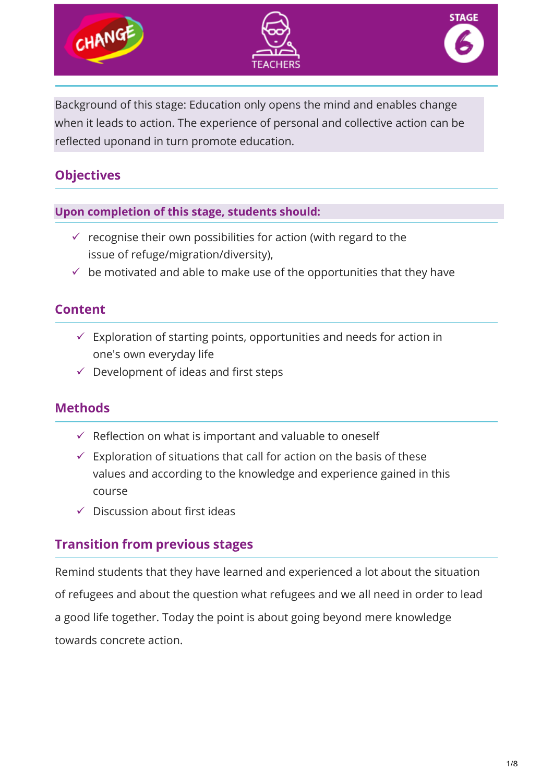





Background of this stage: Education only opens the mind and enables change when it leads to action. The experience of personal and collective action can be reflected uponand in turn promote education.

# **Objectives**

#### **Upon completion of this stage, students should:**

- $\checkmark$  recognise their own possibilities for action (with regard to the issue of refuge/migration/diversity),
- $\checkmark$  be motivated and able to make use of the opportunities that they have

## **Content**

- $\checkmark$  Exploration of starting points, opportunities and needs for action in one's own everyday life
- $\checkmark$  Development of ideas and first steps

# **Methods**

- $\checkmark$  Reflection on what is important and valuable to oneself
- $\checkmark$  Exploration of situations that call for action on the basis of these values and according to the knowledge and experience gained in this course
- $\checkmark$  Discussion about first ideas

### **Transition from previous stages**

Remind students that they have learned and experienced a lot about the situation of refugees and about the question what refugees and we all need in order to lead a good life together. Today the point is about going beyond mere knowledge towards concrete action.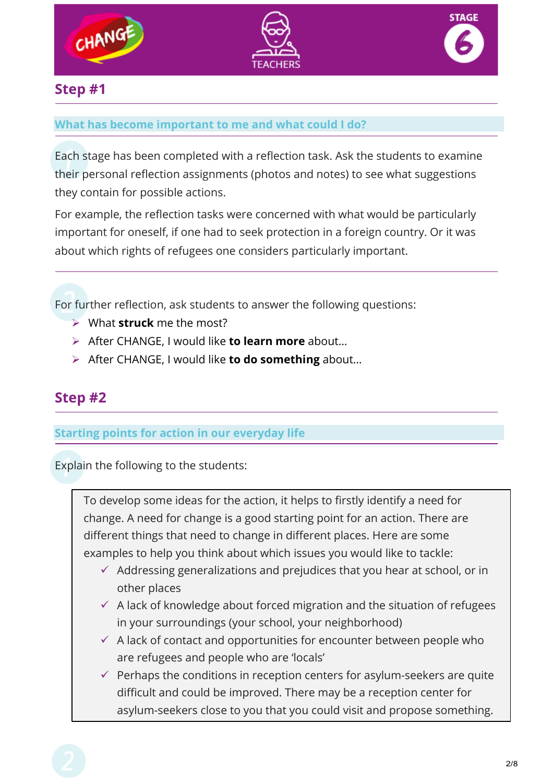





#### **What has become important to me and what could I do?**

Each stage has been completed with a reflection task. Ask the students to examine their personal reflection assignments (photos and notes) to see what suggestions they contain for possible actions.

For example, the reflection tasks were concerned with what would be particularly important for oneself, if one had to seek protection in a foreign country. Or it was about which rights of refugees one considers particularly important.

For further reflection, ask students to answer the following questions:

- What **struck** me the most?
- After CHANGE, I would like **to learn more** about…
- After CHANGE, I would like **to do something** about…

### **Step #2**

#### **Starting points for action in our everyday life**

Explain the following to the students:

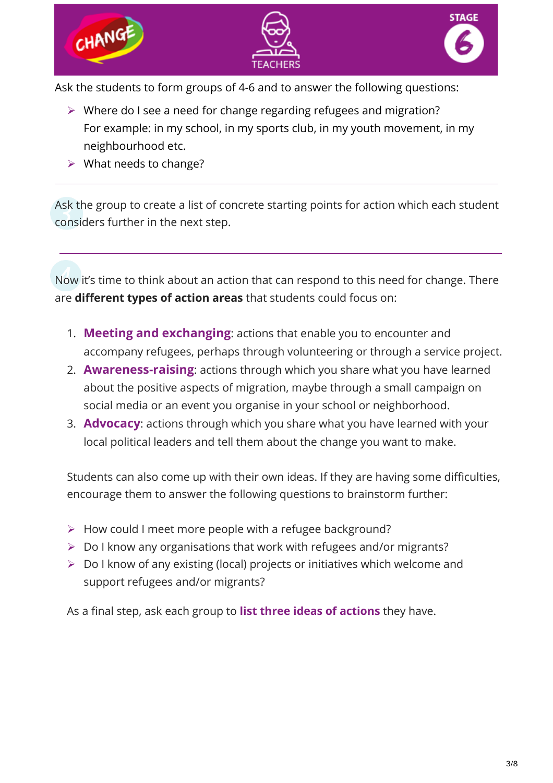

Ask the students to form groups of 4-6 and to answer the following questions:

- ▶ Where do I see a need for change regarding refugees and migration? For example: in my school, in my sports club, in my youth movement, in my neighbourhood etc.
- $\triangleright$  What needs to change?

Ask the group to create a list of concrete starting points for action which each student considers further in the next step.

Now it's time to think about an action that can respond to this need for change. There are **different types of action areas** that students could focus on:

- 1. **Meeting and exchanging**: actions that enable you to encounter and accompany refugees, perhaps through volunteering or through a service project.
- 2. **Awareness-raising**: actions through which you share what you have learned about the positive aspects of migration, maybe through a small campaign on social media or an event you organise in your school or neighborhood.
- 3. **Advocacy**: actions through which you share what you have learned with your local political leaders and tell them about the change you want to make.

Students can also come up with their own ideas. If they are having some difficulties, encourage them to answer the following questions to brainstorm further:

- ▶ How could I meet more people with a refugee background?
- ▶ Do I know any organisations that work with refugees and/or migrants?
- $\triangleright$  Do I know of any existing (local) projects or initiatives which welcome and support refugees and/or migrants?

As a final step, ask each group to **list three ideas of actions** they have.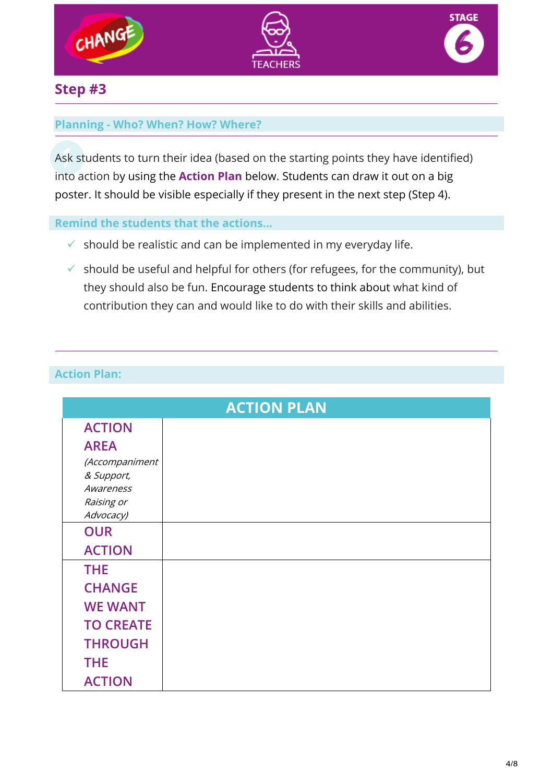





#### **Planning - Who? When? How? Where?**

Ask students to turn their idea (based on the starting points they have identified) into action by using the **Action Plan** below. Students can draw it out on a big poster. It should be visible especially if they present in the next step (Step 4).

**Remind the students that the actions…** 

- $\checkmark$  should be realistic and can be implemented in my everyday life.
- $\checkmark$  should be useful and helpful for others (for refugees, for the community), but they should also be fun. Encourage students to think about what kind of contribution they can and would like to do with their skills and abilities.

#### **Action Plan:**

| <b>ACTION PLAN</b>      |  |  |  |
|-------------------------|--|--|--|
| <b>ACTION</b>           |  |  |  |
| <b>AREA</b>             |  |  |  |
| (Accompaniment          |  |  |  |
| & Support,              |  |  |  |
| Awareness               |  |  |  |
| Raising or<br>Advocacy) |  |  |  |
| <b>OUR</b>              |  |  |  |
| <b>ACTION</b>           |  |  |  |
| <b>THE</b>              |  |  |  |
| <b>CHANGE</b>           |  |  |  |
| <b>WE WANT</b>          |  |  |  |
| <b>TO CREATE</b>        |  |  |  |
| <b>THROUGH</b>          |  |  |  |
| <b>THE</b>              |  |  |  |
| <b>ACTION</b>           |  |  |  |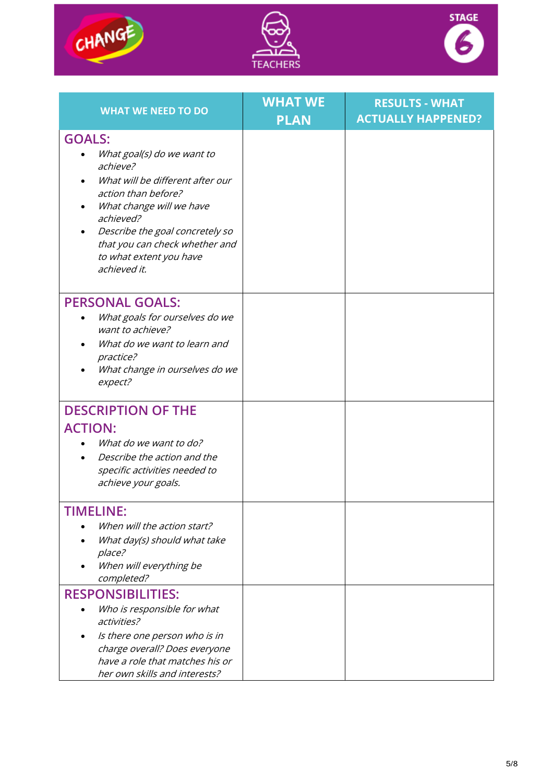





| <b>WHAT WE NEED TO DO</b>                                                                                                                                                                                                                                                   | <b>WHAT WE</b><br><b>PLAN</b> | <b>RESULTS - WHAT</b><br><b>ACTUALLY HAPPENED?</b> |
|-----------------------------------------------------------------------------------------------------------------------------------------------------------------------------------------------------------------------------------------------------------------------------|-------------------------------|----------------------------------------------------|
| <b>GOALS:</b><br>What goal(s) do we want to<br>achieve?<br>What will be different after our<br>action than before?<br>What change will we have<br>achieved?<br>Describe the goal concretely so<br>that you can check whether and<br>to what extent you have<br>achieved it. |                               |                                                    |
| <b>PERSONAL GOALS:</b><br>What goals for ourselves do we<br>want to achieve?<br>What do we want to learn and<br>practice?<br>What change in ourselves do we<br>expect?                                                                                                      |                               |                                                    |
| <b>DESCRIPTION OF THE</b><br><b>ACTION:</b><br>What do we want to do?<br>Describe the action and the<br>specific activities needed to<br>achieve your goals.                                                                                                                |                               |                                                    |
| <b>IMELINE:</b><br>When will the action start?<br>What day(s) should what take<br>place?<br>When will everything be<br>completed?                                                                                                                                           |                               |                                                    |
| <b>RESPONSIBILITIES:</b><br>Who is responsible for what<br>activities?<br>Is there one person who is in<br>charge overall? Does everyone<br>have a role that matches his or<br>her own skills and interests?                                                                |                               |                                                    |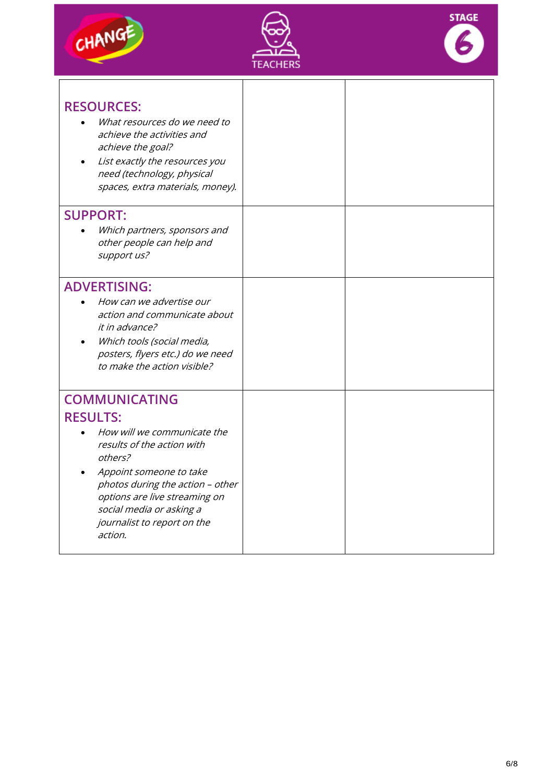| CHANG                                                                                                                                                                                                                                                                                              | <b>STAGE</b> |
|----------------------------------------------------------------------------------------------------------------------------------------------------------------------------------------------------------------------------------------------------------------------------------------------------|--------------|
| <b>RESOURCES:</b><br>What resources do we need to<br>achieve the activities and<br>achieve the goal?<br>List exactly the resources you<br>need (technology, physical<br>spaces, extra materials, money).                                                                                           |              |
| <b>SUPPORT:</b><br>Which partners, sponsors and<br>other people can help and<br>support us?                                                                                                                                                                                                        |              |
| <b>ADVERTISING:</b><br>How can we advertise our<br>action and communicate about<br><i>it in advance?</i><br>Which tools (social media,<br>posters, flyers etc.) do we need<br>to make the action visible?                                                                                          |              |
| <b>COMMUNICATING</b><br><b>RESULTS:</b><br>How will we communicate the<br>$\bullet$<br>results of the action with<br>others?<br>Appoint someone to take<br>photos during the action - other<br>options are live streaming on<br>social media or asking a<br>journalist to report on the<br>action. |              |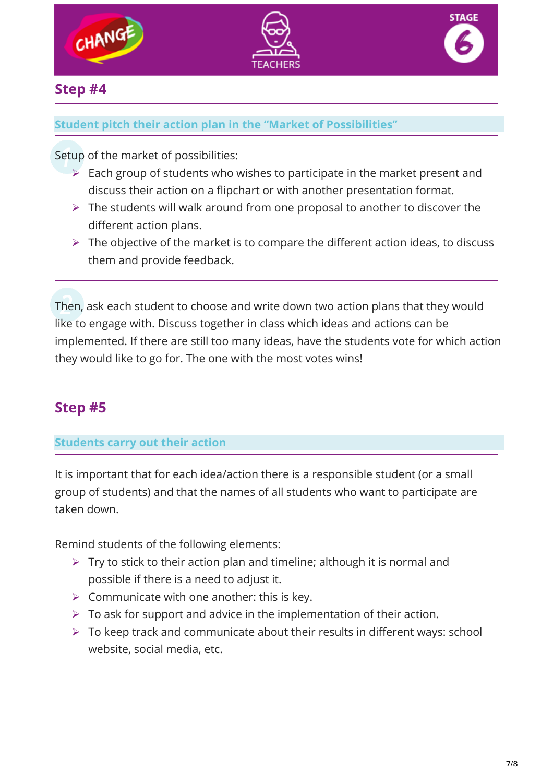





### **Student pitch their action plan in the "Market of Possibilities"**

Setup of the market of possibilities:

- $\triangleright$  Each group of students who wishes to participate in the market present and discuss their action on a flipchart or with another presentation format.
- $\triangleright$  The students will walk around from one proposal to another to discover the different action plans.
- $\triangleright$  The objective of the market is to compare the different action ideas, to discuss them and provide feedback.

Then, ask each student to choose and write down two action plans that they would like to engage with. Discuss together in class which ideas and actions can be implemented. If there are still too many ideas, have the students vote for which action they would like to go for. The one with the most votes wins!

# **Step #5**

#### **Students carry out their action**

It is important that for each idea/action there is a responsible student (or a small group of students) and that the names of all students who want to participate are taken down.

Remind students of the following elements:

- $\triangleright$  Try to stick to their action plan and timeline; although it is normal and possible if there is a need to adjust it.
- $\triangleright$  Communicate with one another: this is key.
- $\triangleright$  To ask for support and advice in the implementation of their action.
- $\triangleright$  To keep track and communicate about their results in different ways: school website, social media, etc.